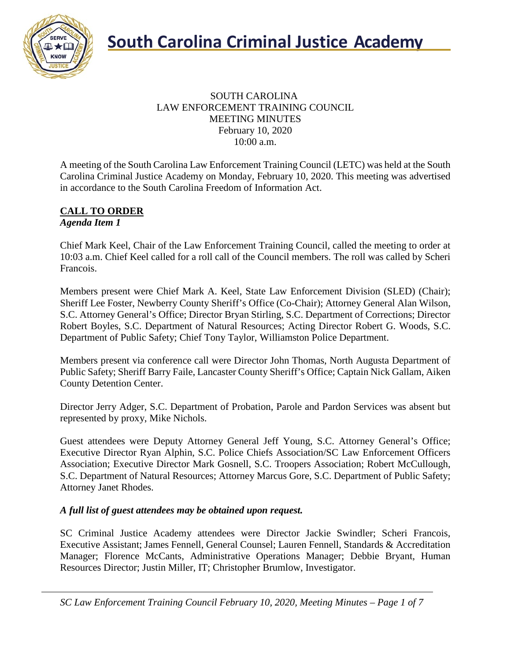

### SOUTH CAROLINA LAW ENFORCEMENT TRAINING COUNCIL MEETING MINUTES February 10, 2020 10:00 a.m.

A meeting of the South Carolina Law Enforcement Training Council (LETC) was held at the South Carolina Criminal Justice Academy on Monday, February 10, 2020. This meeting was advertised in accordance to the South Carolina Freedom of Information Act.

#### **CALL TO ORDER** *Agenda Item 1*

Chief Mark Keel, Chair of the Law Enforcement Training Council, called the meeting to order at 10:03 a.m. Chief Keel called for a roll call of the Council members. The roll was called by Scheri Francois.

Members present were Chief Mark A. Keel, State Law Enforcement Division (SLED) (Chair); Sheriff Lee Foster, Newberry County Sheriff's Office (Co-Chair); Attorney General Alan Wilson, S.C. Attorney General's Office; Director Bryan Stirling, S.C. Department of Corrections; Director Robert Boyles, S.C. Department of Natural Resources; Acting Director Robert G. Woods, S.C. Department of Public Safety; Chief Tony Taylor, Williamston Police Department.

Members present via conference call were Director John Thomas, North Augusta Department of Public Safety; Sheriff Barry Faile, Lancaster County Sheriff's Office; Captain Nick Gallam, Aiken County Detention Center.

Director Jerry Adger, S.C. Department of Probation, Parole and Pardon Services was absent but represented by proxy, Mike Nichols.

Guest attendees were Deputy Attorney General Jeff Young, S.C. Attorney General's Office; Executive Director Ryan Alphin, S.C. Police Chiefs Association/SC Law Enforcement Officers Association; Executive Director Mark Gosnell, S.C. Troopers Association; Robert McCullough, S.C. Department of Natural Resources; Attorney Marcus Gore, S.C. Department of Public Safety; Attorney Janet Rhodes.

### *A full list of guest attendees may be obtained upon request.*

SC Criminal Justice Academy attendees were Director Jackie Swindler; Scheri Francois, Executive Assistant; James Fennell, General Counsel; Lauren Fennell, Standards & Accreditation Manager; Florence McCants, Administrative Operations Manager; Debbie Bryant, Human Resources Director; Justin Miller, IT; Christopher Brumlow, Investigator.

*SC Law Enforcement Training Council February 10, 2020, Meeting Minutes – Page 1 of 7*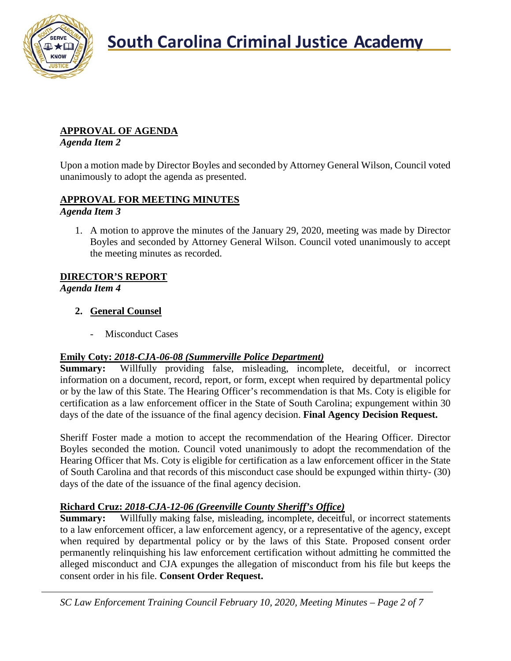

## **APPROVAL OF AGENDA**

*Agenda Item 2*

Upon a motion made by Director Boyles and seconded by Attorney General Wilson, Council voted unanimously to adopt the agenda as presented.

## **APPROVAL FOR MEETING MINUTES**

*Agenda Item 3*

1. A motion to approve the minutes of the January 29, 2020, meeting was made by Director Boyles and seconded by Attorney General Wilson. Council voted unanimously to accept the meeting minutes as recorded.

### **DIRECTOR'S REPORT**

*Agenda Item 4*

### **2. General Counsel**

Misconduct Cases

### **Emily Coty:** *2018-CJA-06-08 (Summerville Police Department)*

**Summary:** Willfully providing false, misleading, incomplete, deceitful, or incorrect information on a document, record, report, or form, except when required by departmental policy or by the law of this State. The Hearing Officer's recommendation is that Ms. Coty is eligible for certification as a law enforcement officer in the State of South Carolina; expungement within 30 days of the date of the issuance of the final agency decision. **Final Agency Decision Request.**

Sheriff Foster made a motion to accept the recommendation of the Hearing Officer. Director Boyles seconded the motion. Council voted unanimously to adopt the recommendation of the Hearing Officer that Ms. Coty is eligible for certification as a law enforcement officer in the State of South Carolina and that records of this misconduct case should be expunged within thirty- (30) days of the date of the issuance of the final agency decision.

### **Richard Cruz:** *2018-CJA-12-06 (Greenville County Sheriff's Office)*

**Summary:** Willfully making false, misleading, incomplete, deceitful, or incorrect statements to a law enforcement officer, a law enforcement agency, or a representative of the agency, except when required by departmental policy or by the laws of this State. Proposed consent order permanently relinquishing his law enforcement certification without admitting he committed the alleged misconduct and CJA expunges the allegation of misconduct from his file but keeps the consent order in his file. **Consent Order Request.**

*SC Law Enforcement Training Council February 10, 2020, Meeting Minutes – Page 2 of 7*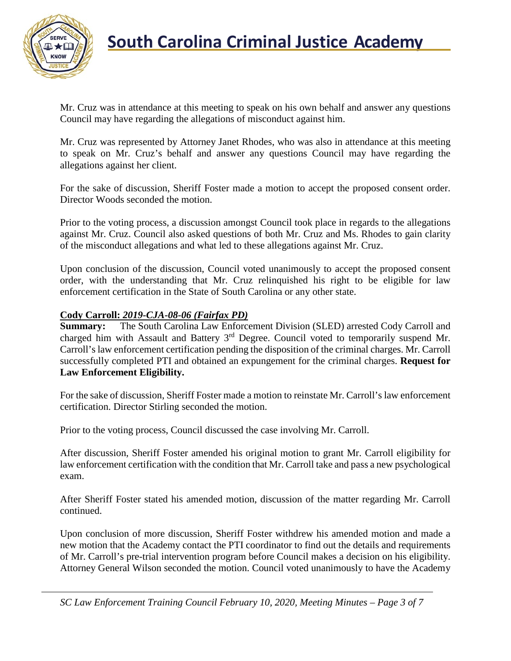

Mr. Cruz was in attendance at this meeting to speak on his own behalf and answer any questions Council may have regarding the allegations of misconduct against him.

Mr. Cruz was represented by Attorney Janet Rhodes, who was also in attendance at this meeting to speak on Mr. Cruz's behalf and answer any questions Council may have regarding the allegations against her client.

For the sake of discussion, Sheriff Foster made a motion to accept the proposed consent order. Director Woods seconded the motion.

Prior to the voting process, a discussion amongst Council took place in regards to the allegations against Mr. Cruz. Council also asked questions of both Mr. Cruz and Ms. Rhodes to gain clarity of the misconduct allegations and what led to these allegations against Mr. Cruz.

Upon conclusion of the discussion, Council voted unanimously to accept the proposed consent order, with the understanding that Mr. Cruz relinquished his right to be eligible for law enforcement certification in the State of South Carolina or any other state.

### **Cody Carroll:** *2019-CJA-08-06 (Fairfax PD)*

**Summary:** The South Carolina Law Enforcement Division (SLED) arrested Cody Carroll and charged him with Assault and Battery 3rd Degree. Council voted to temporarily suspend Mr. Carroll's law enforcement certification pending the disposition of the criminal charges. Mr. Carroll successfully completed PTI and obtained an expungement for the criminal charges. **Request for Law Enforcement Eligibility.**

For the sake of discussion, Sheriff Foster made a motion to reinstate Mr. Carroll's law enforcement certification. Director Stirling seconded the motion.

Prior to the voting process, Council discussed the case involving Mr. Carroll.

After discussion, Sheriff Foster amended his original motion to grant Mr. Carroll eligibility for law enforcement certification with the condition that Mr. Carroll take and pass a new psychological exam.

After Sheriff Foster stated his amended motion, discussion of the matter regarding Mr. Carroll continued.

Upon conclusion of more discussion, Sheriff Foster withdrew his amended motion and made a new motion that the Academy contact the PTI coordinator to find out the details and requirements of Mr. Carroll's pre-trial intervention program before Council makes a decision on his eligibility. Attorney General Wilson seconded the motion. Council voted unanimously to have the Academy

*SC Law Enforcement Training Council February 10, 2020, Meeting Minutes – Page 3 of 7*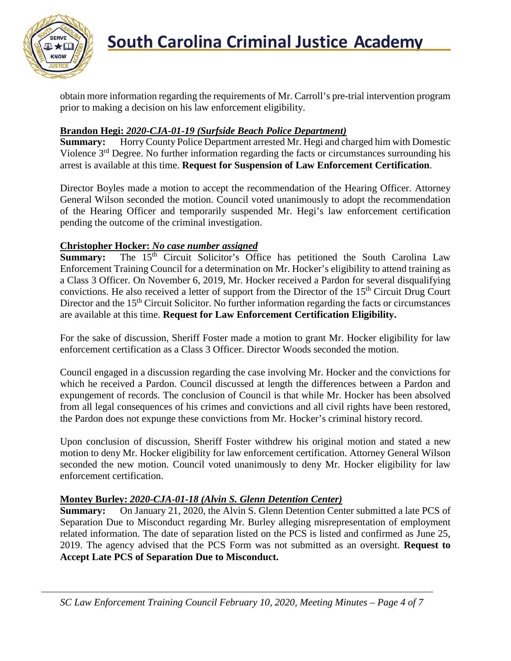

obtain more information regarding the requirements of Mr. Carroll's pre-trial intervention program prior to making a decision on his law enforcement eligibility.

# **Brandon Hegi: 2020-CJA-01-19 (Surfside Beach Police Department)**<br>**Summary:** Horry County Police Department arrested Mr. Hegi and ch

**Summary:** Horry County Police Department arrested Mr. Hegi and charged him with Domestic Violence 3rd Degree. No further information regarding the facts or circumstances surrounding his arrest is available at this time. **Request for Suspension of Law Enforcement Certification**.

Director Boyles made a motion to accept the recommendation of the Hearing Officer. Attorney General Wilson seconded the motion. Council voted unanimously to adopt the recommendation of the Hearing Officer and temporarily suspended Mr. Hegi's law enforcement certification pending the outcome of the criminal investigation.

### **Christopher Hocker:** *No case number assigned*

**Summary:** The 15<sup>th</sup> Circuit Solicitor's Office has petitioned the South Carolina Law Enforcement Training Council for a determination on Mr. Hocker's eligibility to attend training as a Class 3 Officer. On November 6, 2019, Mr. Hocker received a Pardon for several disqualifying convictions. He also received a letter of support from the Director of the 15<sup>th</sup> Circuit Drug Court Director and the  $15<sup>th</sup>$  Circuit Solicitor. No further information regarding the facts or circumstances are available at this time. **Request for Law Enforcement Certification Eligibility.**

For the sake of discussion, Sheriff Foster made a motion to grant Mr. Hocker eligibility for law enforcement certification as a Class 3 Officer. Director Woods seconded the motion.

Council engaged in a discussion regarding the case involving Mr. Hocker and the convictions for which he received a Pardon. Council discussed at length the differences between a Pardon and expungement of records. The conclusion of Council is that while Mr. Hocker has been absolved from all legal consequences of his crimes and convictions and all civil rights have been restored, the Pardon does not expunge these convictions from Mr. Hocker's criminal history record.

Upon conclusion of discussion, Sheriff Foster withdrew his original motion and stated a new motion to deny Mr. Hocker eligibility for law enforcement certification. Attorney General Wilson seconded the new motion. Council voted unanimously to deny Mr. Hocker eligibility for law enforcement certification.

### **Montey Burley:** *2020-CJA-01-18 (Alvin S. Glenn Detention Center)*

**Summary:** On January 21, 2020, the Alvin S. Glenn Detention Center submitted a late PCS of Separation Due to Misconduct regarding Mr. Burley alleging misrepresentation of employment related information. The date of separation listed on the PCS is listed and confirmed as June 25, 2019. The agency advised that the PCS Form was not submitted as an oversight. **Request to Accept Late PCS of Separation Due to Misconduct.**

*SC Law Enforcement Training Council February 10, 2020, Meeting Minutes – Page 4 of 7*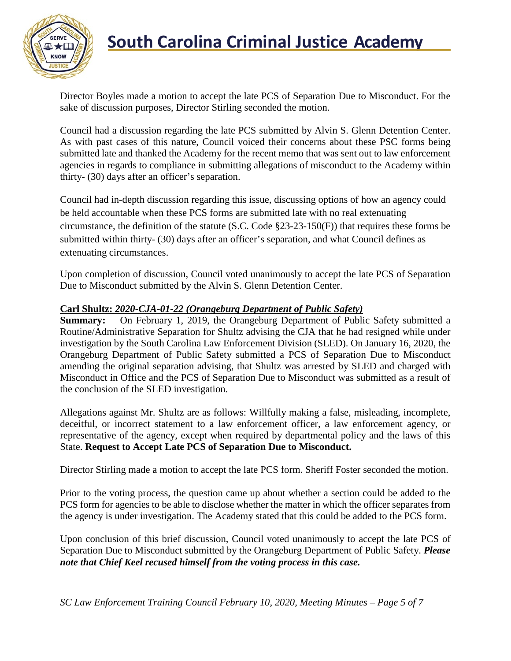

# **South Carolina Criminal Justice Academy**<br>KNOW 2008

Director Boyles made a motion to accept the late PCS of Separation Due to Misconduct. For the sake of discussion purposes, Director Stirling seconded the motion.

Council had a discussion regarding the late PCS submitted by Alvin S. Glenn Detention Center. As with past cases of this nature, Council voiced their concerns about these PSC forms being submitted late and thanked the Academy for the recent memo that was sent out to law enforcement agencies in regards to compliance in submitting allegations of misconduct to the Academy within thirty- (30) days after an officer's separation.

Council had in-depth discussion regarding this issue, discussing options of how an agency could be held accountable when these PCS forms are submitted late with no real extenuating circumstance, the definition of the statute (S.C. Code §23-23-150(F)) that requires these forms be submitted within thirty- (30) days after an officer's separation, and what Council defines as extenuating circumstances.

Upon completion of discussion, Council voted unanimously to accept the late PCS of Separation Due to Misconduct submitted by the Alvin S. Glenn Detention Center.

### **Carl Shultz:** *2020-CJA-01-22 (Orangeburg Department of Public Safety)*

**Summary:** On February 1, 2019, the Orangeburg Department of Public Safety submitted a Routine/Administrative Separation for Shultz advising the CJA that he had resigned while under investigation by the South Carolina Law Enforcement Division (SLED). On January 16, 2020, the Orangeburg Department of Public Safety submitted a PCS of Separation Due to Misconduct amending the original separation advising, that Shultz was arrested by SLED and charged with Misconduct in Office and the PCS of Separation Due to Misconduct was submitted as a result of the conclusion of the SLED investigation.

Allegations against Mr. Shultz are as follows: Willfully making a false, misleading, incomplete, deceitful, or incorrect statement to a law enforcement officer, a law enforcement agency, or representative of the agency, except when required by departmental policy and the laws of this State. **Request to Accept Late PCS of Separation Due to Misconduct.**

Director Stirling made a motion to accept the late PCS form. Sheriff Foster seconded the motion.

Prior to the voting process, the question came up about whether a section could be added to the PCS form for agencies to be able to disclose whether the matter in which the officer separates from the agency is under investigation. The Academy stated that this could be added to the PCS form.

Upon conclusion of this brief discussion, Council voted unanimously to accept the late PCS of Separation Due to Misconduct submitted by the Orangeburg Department of Public Safety. *Please note that Chief Keel recused himself from the voting process in this case.*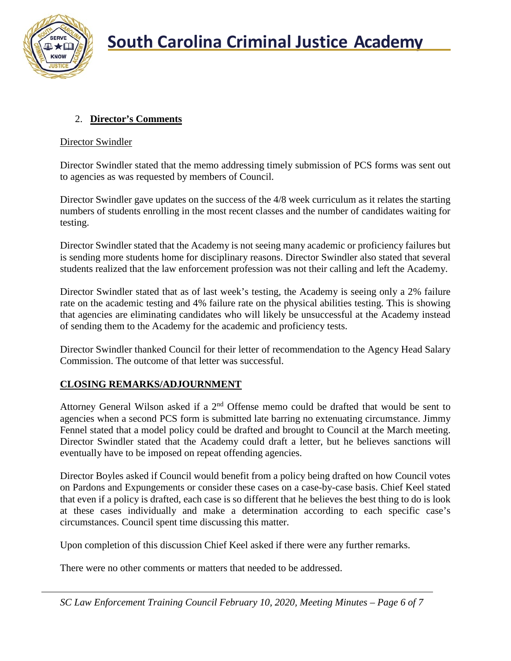

### 2. **Director's Comments**

### Director Swindler

Director Swindler stated that the memo addressing timely submission of PCS forms was sent out to agencies as was requested by members of Council.

Director Swindler gave updates on the success of the 4/8 week curriculum as it relates the starting numbers of students enrolling in the most recent classes and the number of candidates waiting for testing.

Director Swindler stated that the Academy is not seeing many academic or proficiency failures but is sending more students home for disciplinary reasons. Director Swindler also stated that several students realized that the law enforcement profession was not their calling and left the Academy.

Director Swindler stated that as of last week's testing, the Academy is seeing only a 2% failure rate on the academic testing and 4% failure rate on the physical abilities testing. This is showing that agencies are eliminating candidates who will likely be unsuccessful at the Academy instead of sending them to the Academy for the academic and proficiency tests.

Director Swindler thanked Council for their letter of recommendation to the Agency Head Salary Commission. The outcome of that letter was successful.

### **CLOSING REMARKS/ADJOURNMENT**

Attorney General Wilson asked if a 2nd Offense memo could be drafted that would be sent to agencies when a second PCS form is submitted late barring no extenuating circumstance. Jimmy Fennel stated that a model policy could be drafted and brought to Council at the March meeting. Director Swindler stated that the Academy could draft a letter, but he believes sanctions will eventually have to be imposed on repeat offending agencies.

Director Boyles asked if Council would benefit from a policy being drafted on how Council votes on Pardons and Expungements or consider these cases on a case-by-case basis. Chief Keel stated that even if a policy is drafted, each case is so different that he believes the best thing to do is look at these cases individually and make a determination according to each specific case's circumstances. Council spent time discussing this matter.

Upon completion of this discussion Chief Keel asked if there were any further remarks.

There were no other comments or matters that needed to be addressed.

*SC Law Enforcement Training Council February 10, 2020, Meeting Minutes – Page 6 of 7*